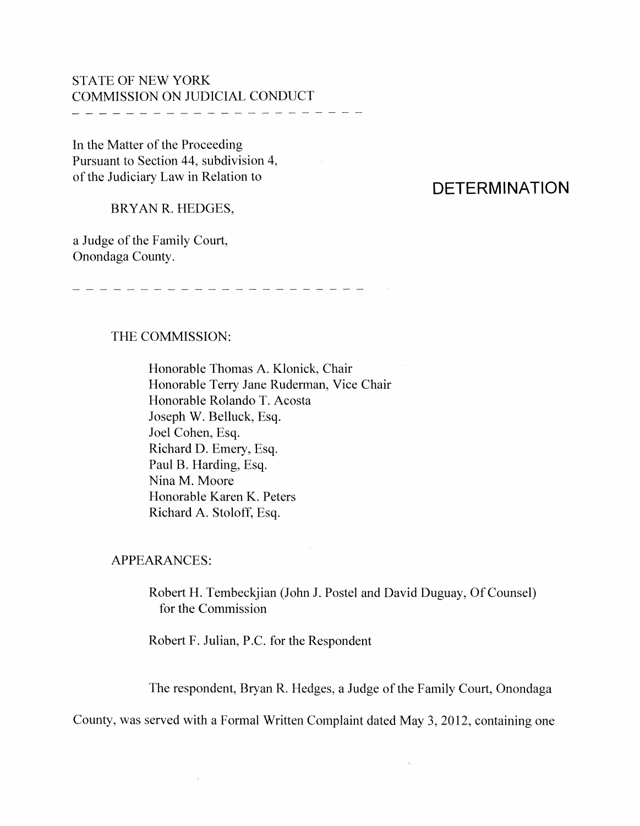## STATE OF NEW YORK COMMISSION ON JUDICIAL CONDUCT

-----------------------------

In the Matter of the Proceeding Pursuant to Section 44, subdivision 4, of the Judiciary Law in Relation to

# **DETERMINATION**

BRYAN R. HEDGES,

a Judge of the Family Court, Onondaga County.

#### THE COMMISSION:

Honorable Thomas A. Klonick, Chair Honorable Terry Jane Ruderman, Vice Chair Honorable Rolando T. Acosta Joseph W. Belluck, Esq. Joel Cohen, Esq. Richard D. Emery, Esq. Paul B. Harding, Esq. Nina M. Moore Honorable Karen K. Peters Richard A. Stoloff, Esq.

APPEARANCES:

Robert H. Tembeckjian (John J. Postel and David Duguay, Of Counsel) for the Commission

Robert F. Julian, P.C. for the Respondent

The respondent, Bryan R. Hedges, a Judge of the Family Court, Onondaga

County, was served with a Formal Written Complaint dated May 3, 2012, containing one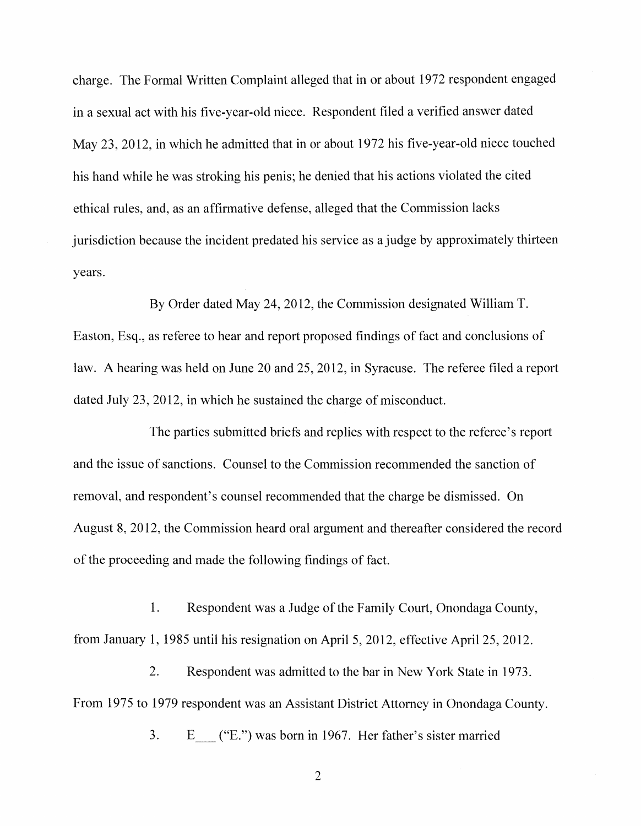charge. The Formal Written Complaint alleged that in or about 1972 respondent engaged in a sexual act with his five-year-old niece. Respondent filed a verified answer dated May 23, 2012, in which he admitted that in or about 1972 his five-year-old niece touched his hand while he was stroking his penis; he denied that his actions violated the cited ethical rules, and, as an affirmative defense, alleged that the Commission lacks jurisdiction because the incident predated his service as a judge by approximately thirteen years.

By Order dated May 24, 2012, the Commission designated William T. Easton, Esq., as referee to hear and report proposed findings of fact and conclusions of law. A hearing was held on June 20 and 25,2012, in Syracuse. The referee filed a report dated July  $23$ ,  $2012$ , in which he sustained the charge of misconduct.

The parties submitted briefs and replies with respect to the referee's report and the issue of sanctions. Counsel to the Commission recommended the sanction of removal, and respondent's counsel recommended that the charge be dismissed. On August 8, 2012, the Commission heard oral argument and thereafter considered the record of the proceeding and made the following findings of fact.

1. Respondent was a Judge of the Family Court, Onondaga County, from January 1, 1985 until his resignation on April 5, 2012, effective April 25, 2012.

2. Respondent was admitted to the bar in New York State in 1973. From 1975 to 1979 respondent was an Assistant District Attorney in Onondaga County.

3. E\_ ("E.") was born in 1967. Her father's sister married

2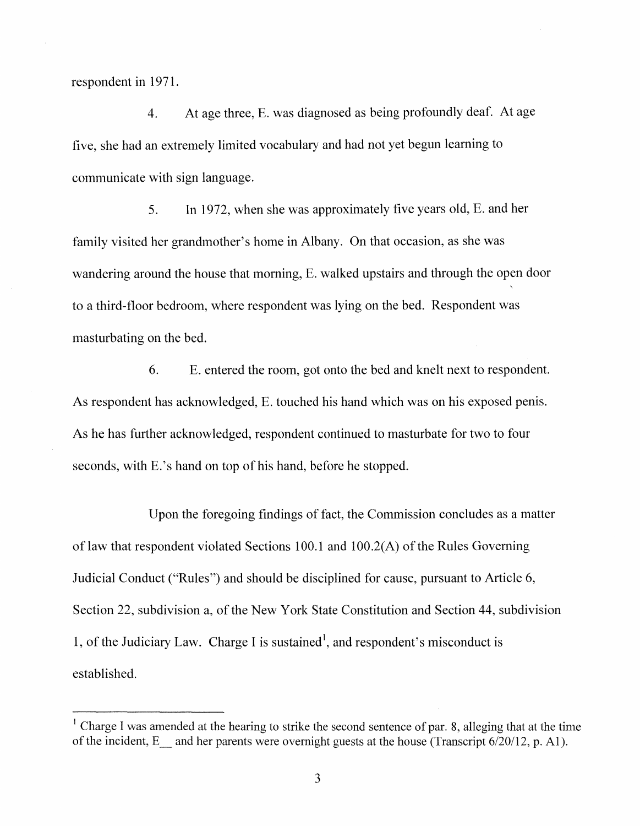respondent in 1971.

4. At age three, E. was diagnosed as being profoundly deaf. At age five, she had an extremely limited vocabulary and had not yet begun learning to communicate with sign language.

5. In 1972, when she was approximately five years old,  $E$ . and her family visited her grandmother's home in Albany. On that occasion, as she was wandering around the house that morning, E. walked upstairs and through the open door to a third-f1oor bedroom, where respondent was lying on the bed. Respondent was masturbating on the bed.

6. E. entered the room, got onto the bed and knelt next to respondent. As respondent has acknowledged, E. touched his hand which was on his exposed penis. As he has further acknowledged, respondent continued to masturbate for two to four seconds, with E.'s hand on top of his hand, before he stopped.

Upon the foregoing findings of fact, the Commission concludes as a matter of law that respondent violated Sections 100.1 and  $100.2(A)$  of the Rules Governing Judicial Conduct ("Rules") and should be disciplined for cause, pursuant to Article 6, Section 22, subdivision a, of the New York State Constitution and Section 44, subdivision 1, of the Judiciary Law. Charge I is sustained<sup>1</sup>, and respondent's misconduct is established.

<sup>1</sup> Charge I was amended at the hearing to strike the second sentence of par. 8, alleging that at the time of the incident, E and her parents were overnight guests at the house (Transcript  $6/20/12$ , p. A1).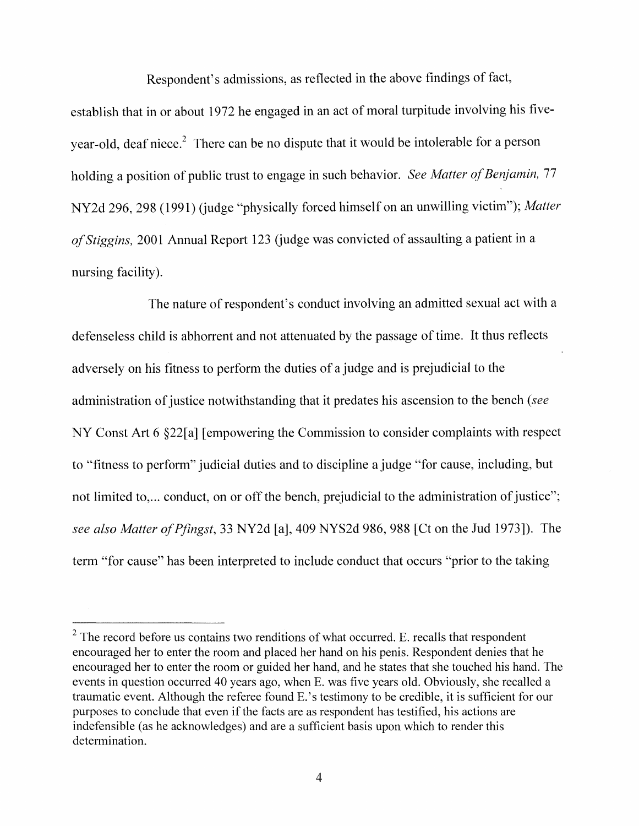Respondent's admissions, as reflected in the above findings of fact,

establish that in or about 1972 he engaged in an act of moral turpitude involving his fiveyear-old, deaf niece.<sup>2</sup> There can be no dispute that it would be intolerable for a person holding a position of public trust to engage in such behavior. See Matter of Benjamin, 77 NY2d 296, 298 (1991) (judge "physically forced himself on an unwilling victim"); *Matter of Stiggins,* 2001 Annual Report 123 (judge was convicted of assaulting a patient in a nursing facility).

The nature of respondent's conduct involving an admitted sexual act with a defenseless child is abhorrent and not attenuated by the passage of time. It thus reflects adversely on his fitness to perform the duties of a judge and is prejudicial to the administration of justice notwithstanding that it predates his ascension to the bench *(see* NY Const Art  $6 \& 22[a]$  [empowering the Commission to consider complaints with respect to "fitness to perform" judicial duties and to discipline a judge "for cause, including, but not limited to,... conduct, on or off the bench, prejudicial to the administration of justice"; *see also Matter ofPfingst,* 33 NY2d [a], 409 NYS2d 986,988 [Ct on the Jud 1973]). The term "for cause" has been interpreted to include conduct that occurs "prior to the taking

 $2$  The record before us contains two renditions of what occurred. E. recalls that respondent encouraged her to enter the room and placed her hand on his penis. Respondent denies that he encouraged her to enter the room or guided her hand, and he states that she touched his hand. The events in question occurred 40 years ago, when E. was five years old. Obviously, she recalled a traumatic event. Although the referee found E.'s testimony to be credible, it is sufficient for our purposes to conclude that even if the facts are as respondent has testified, his actions are indefensible (as he acknowledges) and are a sufficient basis upon which to render this determination.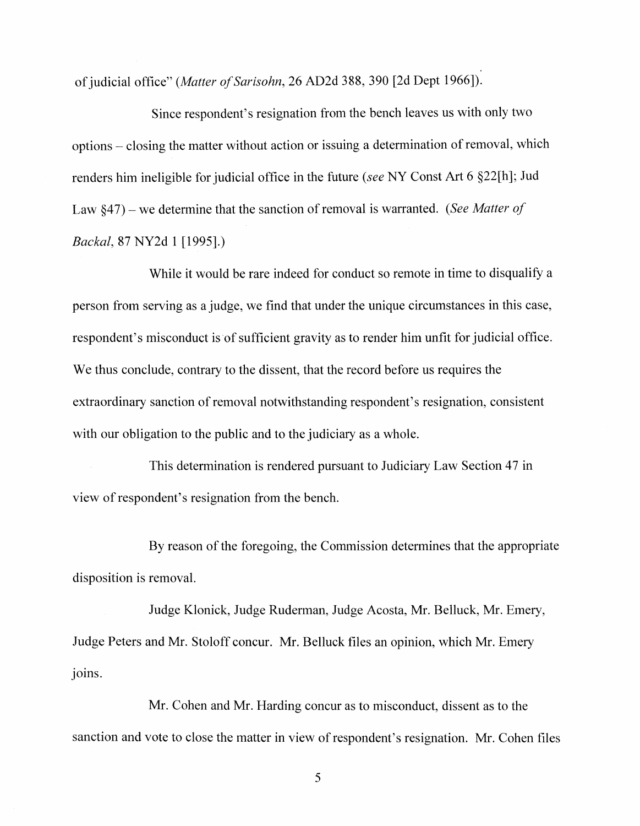of judicial office" *(Matter of Sarisohn,* 26 AD2d 388, 390 [2d Dept 1966]).

Since respondent's resignation from the bench leaves us with only two options – closing the matter without action or issuing a determination of removal, which renders him ineligible for judicial office in the future *(see* NY Const Art 6 §22[h]; Jud Law §47) – we determine that the sanction of removal is warranted. *(See Matter of Backal,* 87 NY2d 1 [1995].)

While it would be rare indeed for conduct so remote in time to disqualify a person from serving as a judge, we find that under the unique circumstances in this case, respondent's misconduct is of sufficient gravity as to render him unfit for judicial office. We thus conclude, contrary to the dissent, that the record before us requires the extraordinary sanction of removal notwithstanding respondent's resignation, consistent with our obligation to the public and to the judiciary as a whole.

This determination is rendered pursuant to Judiciary Law Section 47 in view of respondent's resignation from the bench.

By reason of the foregoing, the Commission determines that the appropriate disposition is removal.

Judge Klonick, Judge Ruderman, Judge Acosta, Mr. Belluck, Mr. Emery, Judge Peters and Mr. Stoloff concur. Mr. Belluck files an opinion, which Mr. Emery joins.

Mr. Cohen and Mr. Harding concur as to misconduct, dissent as to the sanction and vote to close the matter in view of respondent's resignation. Mr. Cohen files

5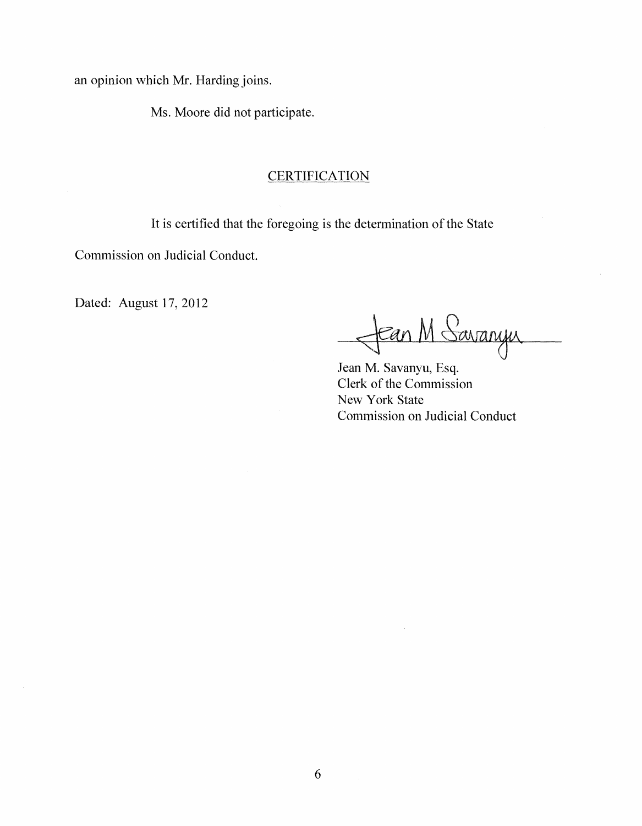an opinion which Mr. Harding joins.

Ms. Moore did not participate.

### **CERTIFICATION**

It is certified that the foregoing is the determination of the State

Commission on Judicial Conduct.

Dated: August 17, 2012 <del>1 Can</del> M Savanyu

Jean M. Savanyu, Esq. Clerk of the Commission New York State Commission on Judicial Conduct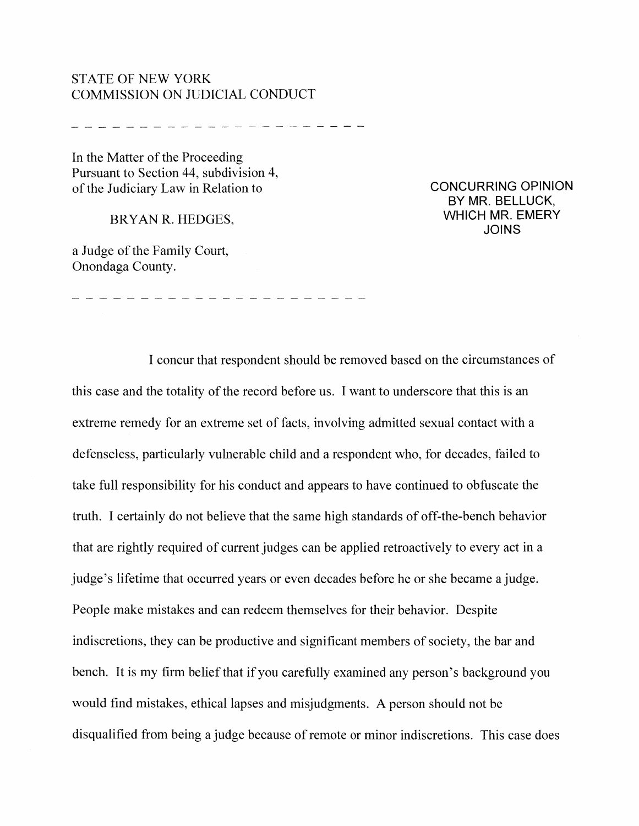#### STATE OF NEW YORK COMMISSION ON JUDICIAL CONDUCT

--------------------

---------------------

In the Matter of the Proceeding Pursuant to Section 44, subdivision 4, of the Judiciary Law in Relation to

BRYAN R. HEDGES,

a Judge of the Family Court, Onondaga County.

CONCURRING OPINION BY MR. BELLUCK, WHICH MR. EMERY JOINS

I concur that respondent should be removed based on the circumstances of this case and the totality of the record before us. I want to underscore that this is an extreme remedy for an extreme set of facts, involving admitted sexual contact with a defenseless, particularly vulnerable child and a respondent who, for decades, failed to take full responsibility for his conduct and appears to have continued to obfuscate the truth. I certainly do not believe that the same high standards of off-the-bench behavior that are rightly required of current judges can be applied retroactively to every act in a judge's lifetime that occurred years or even decades before he or she became a judge. People make mistakes and can redeem themselves for their behavior. Despite indiscretions, they can be productive and significant members of society, the bar and bench. It is my firm belief that if you carefully examined any person's background you would find mistakes, ethical lapses and misjudgments. A person should not be disqualified from being a judge because of remote or minor indiscretions. This case does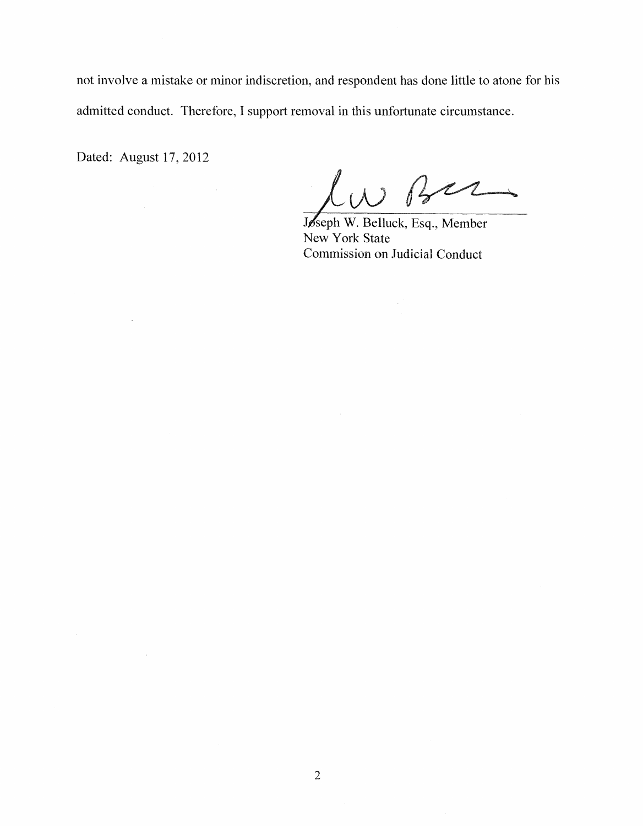not involve a mistake or minor indiscretion, and respondent has done little to atone for his admitted conduct. Therefore, I support removal in this unfortunate circumstance.

Dated: August 17, 2012

 $\mathcal{L}_{\mathcal{L}}$ 

 $\sim$   $\sim$ 

 $B22$ 

**Jø**seph W. Belluck, Esq., Member New York State Comrnission on Judicial Conduct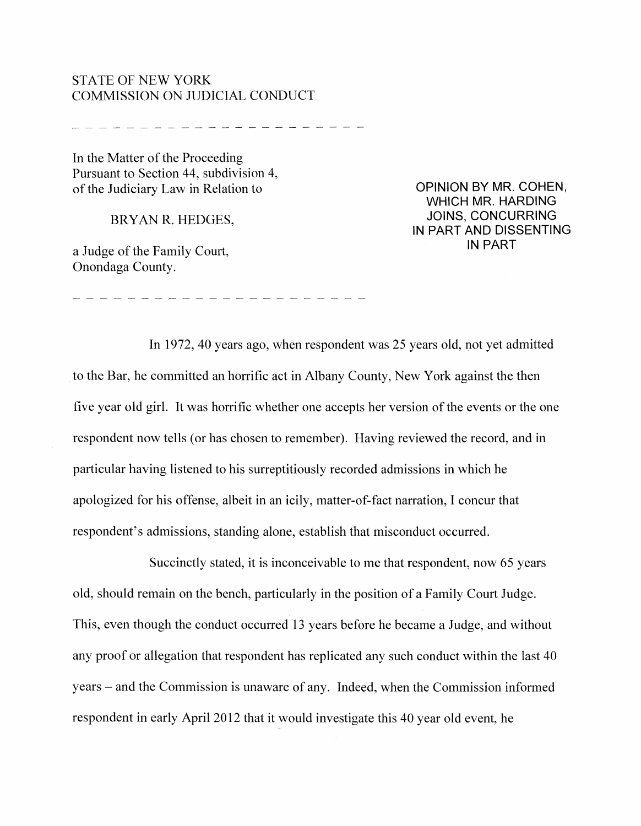### STATE OF NEW YORK COMMISSION ON JUDICIAL CONDlJCT

In the Matter of the Proceeding Pursuant to Section 44, subdivision 4, of the Judiciary Law in Relation to

BRYAN R. HEDGES,

a Judge of the Family Court, Onondaga County.

OPINION BY MR. COHEN, WHICH MR. HARDING JOINS, CONCURRING IN PART AND DISSENTING IN PART

In 1972, 40 years ago, when respondent was 25 years old, not yet admitted to the Bar, he committed an horrific act in Albany County, New York against the then five year old girl. It was horrific whether one accepts her version of the events or the one respondent now tells (or has chosen to remember). Having reviewed the record, and in particular having listened to his surreptitiously recorded admissions in which he apologized for his offense, albeit in an icily, matter-of-fact narration, I concur that respondent's admissions, standing alone, establish that misconduct occurred.

Succinctly stated, it is inconceivable to me that respondent, now 65 years old, should remain on the bench, particularly in the position of a Family Court Judge. This, even though the conduct occurred 13 years before he became a Judge, and without any proof or allegation that respondent has replicated any such conduct within the last 40 years – and the Commission is unaware of any. Indeed, when the Commission informed respondent in early April 2012 that it would investigate this 40 year old event, he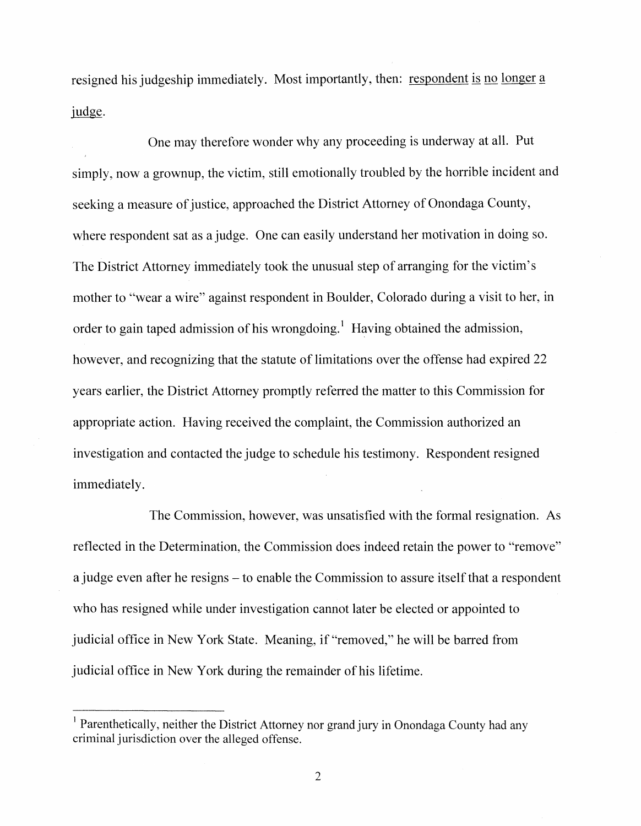resigned his judgeship immediately. Most importantly, then: respondent is no longer a judge.

One may therefore wonder why any proceeding is underway at all. Put simply, now a grownup, the victim, still emotionally troubled by the horrible incident and seeking a measure of justice, approached the District Attorney of Onondaga County, where respondent sat as a judge. One can easily understand her motivation in doing so. The District Attorney immediately took the unusual step of arranging for the victim's Inother to "wear a wire" against respondent in Boulder, Colorado during a visit to her, in order to gain taped admission of his wrongdoing.<sup>1</sup> Having obtained the admission, however, and recognizing that the statute of limitations over the offense had expired 22 years earlier, the District Attorney promptly referred the matter to this Commission for appropriate action. Having received the complaint, the Commission authorized an investigation and contacted the judge to schedule his testimony. Respondent resigned immediately.

The Commission, however, was unsatisfied with the formal resignation. As reflected in the Determination, the Commission does indeed retain the power to "remove" a judge even after he resigns – to enable the Commission to assure itself that a respondent who has resigned while under investigation cannot later be elected or appointed to judicial office in New York State. Meaning, if "removed," he will be barred from judicial office in New York during the remainder of his lifetime.

<sup>&</sup>lt;sup>1</sup> Parenthetically, neither the District Attorney nor grand jury in Onondaga County had any criminal jurisdiction over the alleged offense.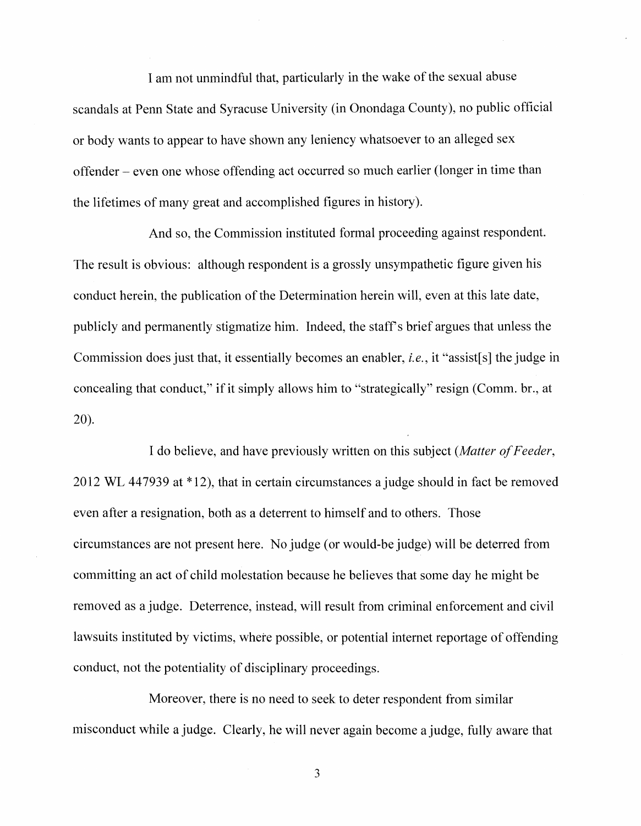I am not unmindful that, particularly in the wake of the sexual abuse scandals at Penn State and Syracuse University (in Onondaga County), no public official or body wants to appear to have shown any leniency whatsoever to an alleged sex offender even one whose offending act occurred so much earlier (longer in time than the lifetimes of many great and accomplished figures in history).

And so, the Commission instituted formal proceeding against respondent. The result is obvious: although respondent is a grossly unsympathetic figure given his conduct herein, the publication of the Determination herein will, even at this late date, publicly and permanently stigmatize him. Indeed, the staff's brief argues that unless the Commission does just that, it essentially becomes an enabler, *i.e.*, it "assist[s] the judge in concealing that conduct," if it simply allows him to "strategically" resign (Comm. br., at 20).

I do believe, and have previously written on this subject *(Matter ofFeeder,*  $2012$  WL 447939 at  $*12$ ), that in certain circumstances a judge should in fact be removed even after a resignation, both as a deterrent to himself and to others. Those circumstances are not present here. No judge (or would-be judge) will be deterred from committing an act of child molestation because he believes that some day he might be removed as a judge. Deterrence, instead, will result from criminal enforcement and civil lawsuits instituted by victims, where possible, or potential internet reportage of offending conduct, not the potentiality of disciplinary proceedings.

Moreover, there is no need to seek to deter respondent from similar misconduct while a judge. Clearly, he will never again become a judge, fully aware that

3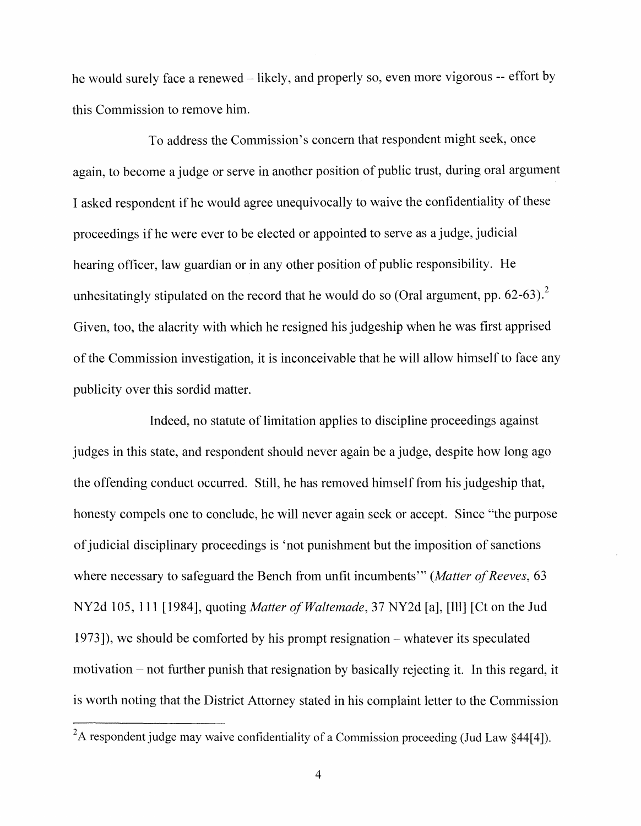he would surely face a renewed  $-$  likely, and properly so, even more vigorous  $-$  effort by this Commission to remove him.

To address the Commission's concern that respondent might seek, once again, to become a judge or serve in another position of public trust, during oral argument I asked respondent if he would agree unequivocally to waive the confidentiality of these proceedings if he were ever to be elected or appointed to serve as a judge, judicial hearing officer, law guardian or in any other position of public responsibility. He unhesitatingly stipulated on the record that he would do so (Oral argument, pp.  $62-63$ ).<sup>2</sup> Given, too, the alacrity with which he resigned his judgeship when he was first apprised of the Commission investigation, it is inconceivable that he will allow himself to face any publicity over this sordid matter.

Indeed, no statute of limitation applies to discipline proceedings against judges in this state, and respondent should never again be a judge, despite how long ago the offending conduct occurred. Still, he has removed himself from his judgeship that, honesty compels one to conclude, he will never again seek or accept. Since "the purpose of judicial disciplinary proceedings is 'not punishment but the imposition of sanctions where necessary to safeguard the Bench from unfit incumbents'" *(Matter of Reeves, 63*) NY2d 105, 111 [1984], quoting *Matter of Waltemade*, 37 NY2d [a], [Ill] [Ct on the Jud 1973]), we should be comforted by his prompt resignation – whatever its speculated motivation  $-$  not further punish that resignation by basically rejecting it. In this regard, it is worth noting that the District Attorney stated in his complaint letter to the Commission

<sup>&</sup>lt;sup>2</sup>A respondent judge may waive confidentiality of a Commission proceeding (Jud Law  $\S 44[4]$ ).